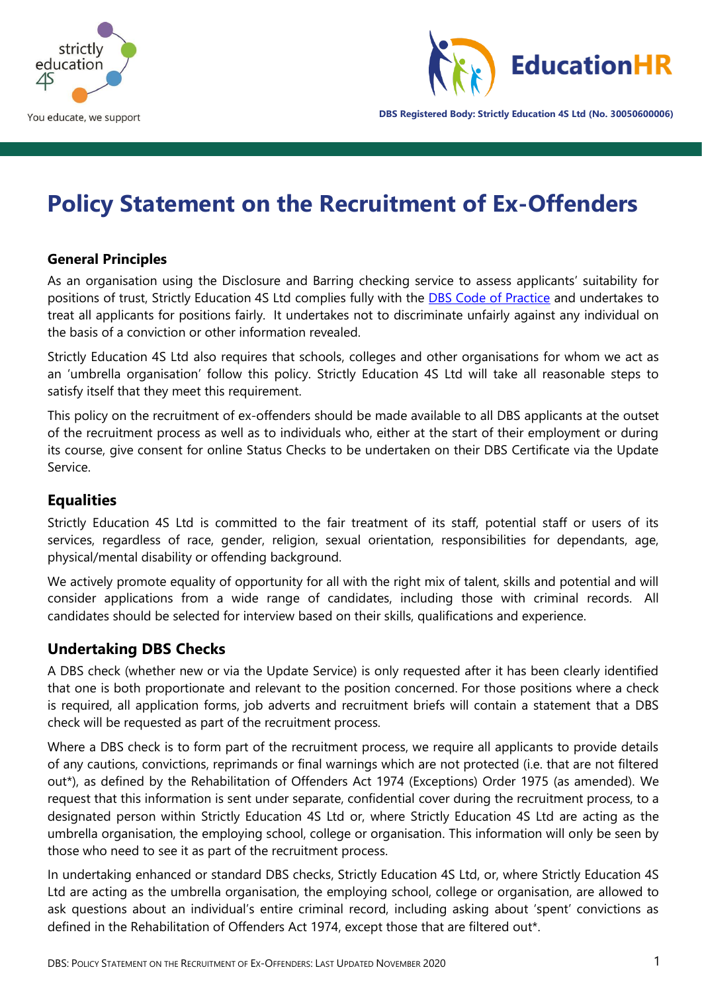



**DBS Registered Body: Strictly Education 4S Ltd (No. 30050600006)**

# **Policy Statement on the Recruitment of Ex-Offenders**

#### **General Principles**

As an organisation using the Disclosure and Barring checking service to assess applicants' suitability for positions of trust, Strictly Education 4S Ltd complies fully with the **DBS Code of Practice** and undertakes to treat all applicants for positions fairly. It undertakes not to discriminate unfairly against any individual on the basis of a conviction or other information revealed.

Strictly Education 4S Ltd also requires that schools, colleges and other organisations for whom we act as an 'umbrella organisation' follow this policy. Strictly Education 4S Ltd will take all reasonable steps to satisfy itself that they meet this requirement.

This policy on the recruitment of ex-offenders should be made available to all DBS applicants at the outset of the recruitment process as well as to individuals who, either at the start of their employment or during its course, give consent for online Status Checks to be undertaken on their DBS Certificate via the Update Service.

#### **Equalities**

Strictly Education 4S Ltd is committed to the fair treatment of its staff, potential staff or users of its services, regardless of race, gender, religion, sexual orientation, responsibilities for dependants, age, physical/mental disability or offending background.

We actively promote equality of opportunity for all with the right mix of talent, skills and potential and will consider applications from a wide range of candidates, including those with criminal records. All candidates should be selected for interview based on their skills, qualifications and experience.

#### **Undertaking DBS Checks**

A DBS check (whether new or via the Update Service) is only requested after it has been clearly identified that one is both proportionate and relevant to the position concerned. For those positions where a check is required, all application forms, job adverts and recruitment briefs will contain a statement that a DBS check will be requested as part of the recruitment process.

Where a DBS check is to form part of the recruitment process, we require all applicants to provide details of any cautions, convictions, reprimands or final warnings which are not protected (i.e. that are not filtered out\*), as defined by the Rehabilitation of Offenders Act 1974 (Exceptions) Order 1975 (as amended). We request that this information is sent under separate, confidential cover during the recruitment process, to a designated person within Strictly Education 4S Ltd or, where Strictly Education 4S Ltd are acting as the umbrella organisation, the employing school, college or organisation. This information will only be seen by those who need to see it as part of the recruitment process.

In undertaking enhanced or standard DBS checks, Strictly Education 4S Ltd, or, where Strictly Education 4S Ltd are acting as the umbrella organisation, the employing school, college or organisation, are allowed to ask questions about an individual's entire criminal record, including asking about 'spent' convictions as defined in the Rehabilitation of Offenders Act 1974, except those that are filtered out\*.